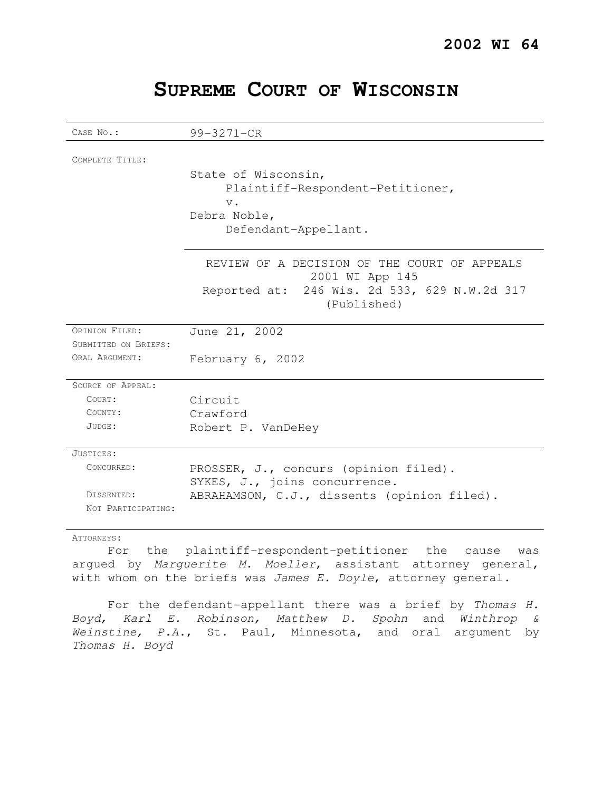| SUPREME COURT OF WISCONSIN |  |  |
|----------------------------|--|--|
|----------------------------|--|--|

| CASE No.:                        | 99-3271-CR                                                             |  |
|----------------------------------|------------------------------------------------------------------------|--|
| COMPLETE TITLE:                  |                                                                        |  |
|                                  | State of Wisconsin,<br>Plaintiff-Respondent-Petitioner,                |  |
|                                  | $V$ .                                                                  |  |
|                                  | Debra Noble,<br>Defendant-Appellant.                                   |  |
|                                  | REVIEW OF A DECISION OF THE COURT OF APPEALS<br>2001 WI App 145        |  |
|                                  | Reported at: 246 Wis. 2d 533, 629 N.W.2d 317<br>(Published)            |  |
| OPINION FILED:                   | June 21, 2002                                                          |  |
| SUBMITTED ON BRIEFS:             |                                                                        |  |
| ORAL ARGUMENT:                   | February 6, 2002                                                       |  |
| SOURCE OF APPEAL:                |                                                                        |  |
| COURT:                           | Circuit                                                                |  |
| COUNTY:                          | Crawford                                                               |  |
| JUDGE:                           | Robert P. VanDeHey                                                     |  |
| JUSTICES:                        |                                                                        |  |
| CONCURRED:                       | PROSSER, J., concurs (opinion filed).<br>SYKES, J., joins concurrence. |  |
| DISSENTED:<br>NOT PARTICIPATING: | ABRAHAMSON, C.J., dissents (opinion filed).                            |  |

## ATTORNEYS:

For the plaintiff-respondent-petitioner the cause was argued by Marguerite M. Moeller, assistant attorney general, with whom on the briefs was James E. Doyle, attorney general.

For the defendant-appellant there was a brief by Thomas H. Boyd, Karl E. Robinson, Matthew D. Spohn and Winthrop & Weinstine, P.A., St. Paul, Minnesota, and oral argument by Thomas H. Boyd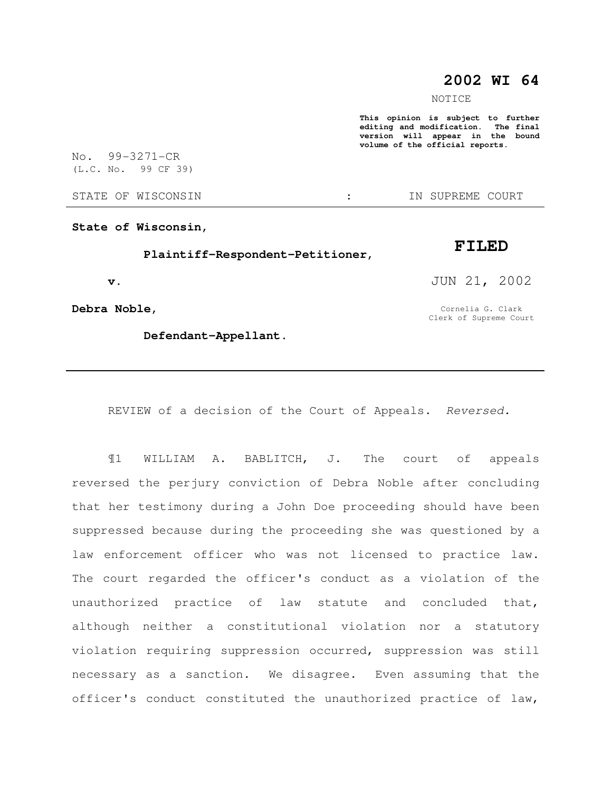# **2002 WI 64**

NOTICE

**This opinion is subject to further editing and modification. The final version will appear in the bound volume of the official reports.** 

No. 99-3271-CR (L.C. No. 99 CF 39)

STATE OF WISCONSIN  $\cdot$   $\cdot$  in Supreme court

**State of Wisconsin,** 

 **Plaintiff-Respondent-Petitioner,** 

 **v.** 

**Debra Noble,** 

 **Defendant-Appellant.** 

JUN 21, 2002

**FILED** 

Cornelia G. Clark Clerk of Supreme Court

REVIEW of a decision of the Court of Appeals. Reversed.

¶1 WILLIAM A. BABLITCH, J. The court of appeals reversed the perjury conviction of Debra Noble after concluding that her testimony during a John Doe proceeding should have been suppressed because during the proceeding she was questioned by a law enforcement officer who was not licensed to practice law. The court regarded the officer's conduct as a violation of the unauthorized practice of law statute and concluded that, although neither a constitutional violation nor a statutory violation requiring suppression occurred, suppression was still necessary as a sanction. We disagree. Even assuming that the officer's conduct constituted the unauthorized practice of law,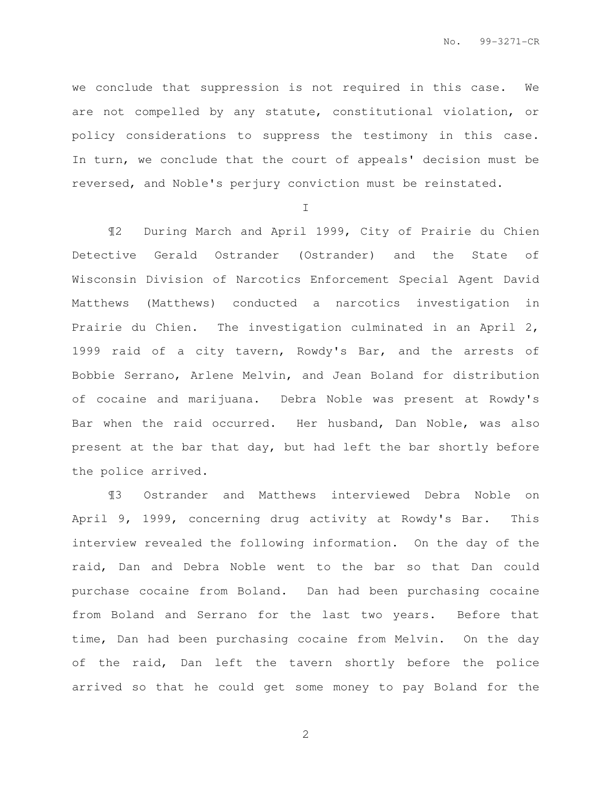we conclude that suppression is not required in this case. We are not compelled by any statute, constitutional violation, or policy considerations to suppress the testimony in this case. In turn, we conclude that the court of appeals' decision must be reversed, and Noble's perjury conviction must be reinstated.

I

¶2 During March and April 1999, City of Prairie du Chien Detective Gerald Ostrander (Ostrander) and the State of Wisconsin Division of Narcotics Enforcement Special Agent David Matthews (Matthews) conducted a narcotics investigation in Prairie du Chien. The investigation culminated in an April 2, 1999 raid of a city tavern, Rowdy's Bar, and the arrests of Bobbie Serrano, Arlene Melvin, and Jean Boland for distribution of cocaine and marijuana. Debra Noble was present at Rowdy's Bar when the raid occurred. Her husband, Dan Noble, was also present at the bar that day, but had left the bar shortly before the police arrived.

¶3 Ostrander and Matthews interviewed Debra Noble on April 9, 1999, concerning drug activity at Rowdy's Bar. This interview revealed the following information. On the day of the raid, Dan and Debra Noble went to the bar so that Dan could purchase cocaine from Boland. Dan had been purchasing cocaine from Boland and Serrano for the last two years. Before that time, Dan had been purchasing cocaine from Melvin. On the day of the raid, Dan left the tavern shortly before the police arrived so that he could get some money to pay Boland for the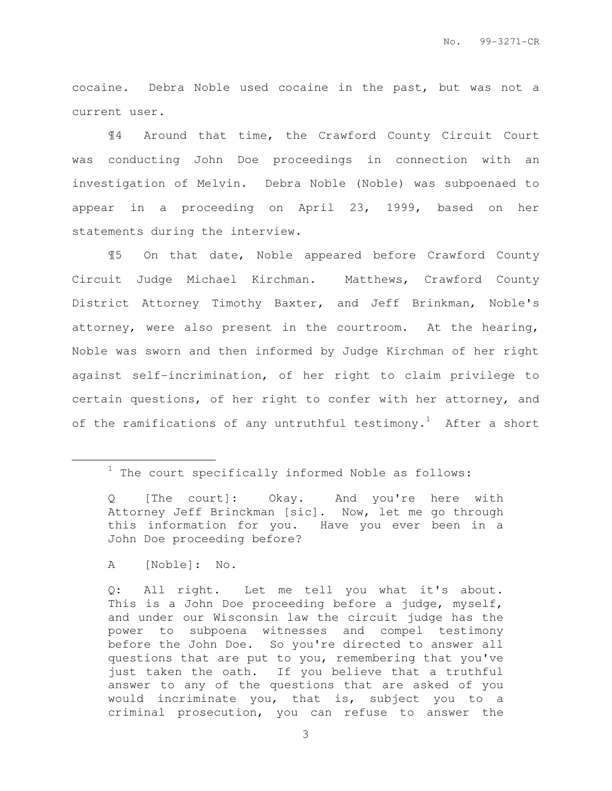cocaine. Debra Noble used cocaine in the past, but was not a current user.

¶4 Around that time, the Crawford County Circuit Court was conducting John Doe proceedings in connection with an investigation of Melvin. Debra Noble (Noble) was subpoenaed to appear in a proceeding on April 23, 1999, based on her statements during the interview.

¶5 On that date, Noble appeared before Crawford County Circuit Judge Michael Kirchman. Matthews, Crawford County District Attorney Timothy Baxter, and Jeff Brinkman, Noble's attorney, were also present in the courtroom. At the hearing, Noble was sworn and then informed by Judge Kirchman of her right against self-incrimination, of her right to claim privilege to certain questions, of her right to confer with her attorney, and of the ramifications of any untruthful testimony.<sup>1</sup> After a short

 $\overline{a}$ 

Q: All right. Let me tell you what it's about. This is a John Doe proceeding before a judge, myself, and under our Wisconsin law the circuit judge has the power to subpoena witnesses and compel testimony before the John Doe. So you're directed to answer all questions that are put to you, remembering that you've just taken the oath. If you believe that a truthful answer to any of the questions that are asked of you would incriminate you, that is, subject you to a criminal prosecution, you can refuse to answer the

 $1$  The court specifically informed Noble as follows:

Q [The court]: Okay. And you're here with Attorney Jeff Brinckman [sic]. Now, let me go through this information for you. Have you ever been in a John Doe proceeding before?

A [Noble]: No.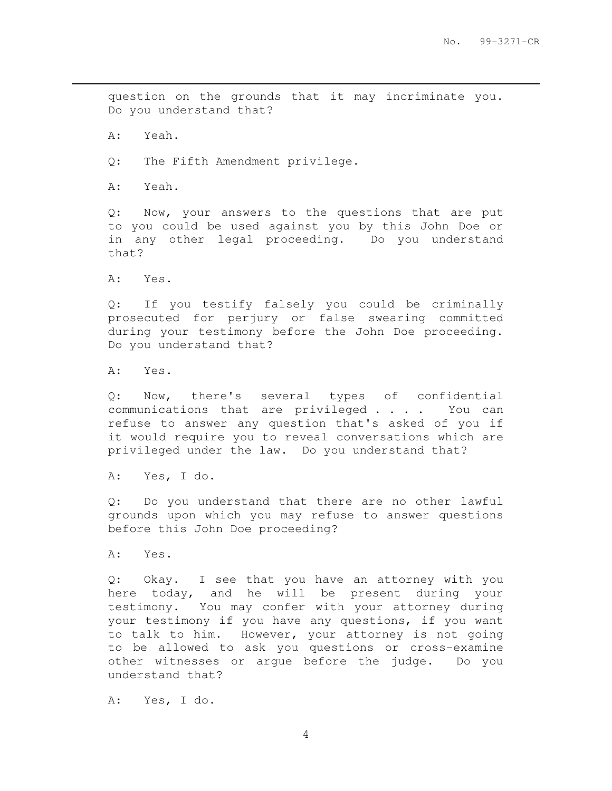question on the grounds that it may incriminate you. Do you understand that?

A: Yeah.

 $\overline{a}$ 

Q: The Fifth Amendment privilege.

A: Yeah.

Q: Now, your answers to the questions that are put to you could be used against you by this John Doe or in any other legal proceeding. Do you understand that?

A: Yes.

Q: If you testify falsely you could be criminally prosecuted for perjury or false swearing committed during your testimony before the John Doe proceeding. Do you understand that?

A: Yes.

Q: Now, there's several types of confidential communications that are privileged . . . . You can refuse to answer any question that's asked of you if it would require you to reveal conversations which are privileged under the law. Do you understand that?

A: Yes, I do.

Q: Do you understand that there are no other lawful grounds upon which you may refuse to answer questions before this John Doe proceeding?

A: Yes.

Q: Okay. I see that you have an attorney with you here today, and he will be present during your testimony. You may confer with your attorney during your testimony if you have any questions, if you want to talk to him. However, your attorney is not going to be allowed to ask you questions or cross-examine other witnesses or argue before the judge. Do you understand that?

A: Yes, I do.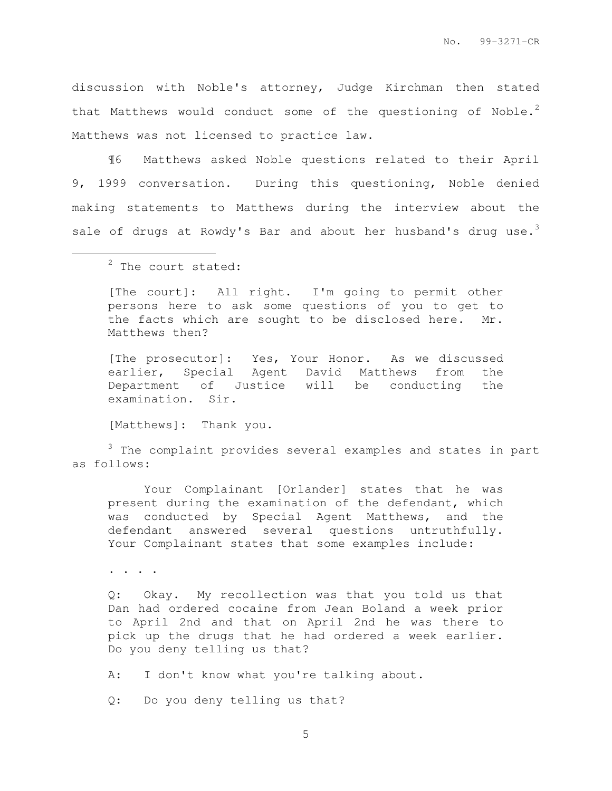discussion with Noble's attorney, Judge Kirchman then stated that Matthews would conduct some of the questioning of Noble.<sup>2</sup> Matthews was not licensed to practice law.

¶6 Matthews asked Noble questions related to their April 9, 1999 conversation. During this questioning, Noble denied making statements to Matthews during the interview about the sale of drugs at Rowdy's Bar and about her husband's drug use.<sup>3</sup>

l.

[The court]: All right. I'm going to permit other persons here to ask some questions of you to get to the facts which are sought to be disclosed here. Mr. Matthews then?

[The prosecutor]: Yes, Your Honor. As we discussed earlier, Special Agent David Matthews from the Department of Justice will be conducting the examination. Sir.

[Matthews]: Thank you.

 $3$  The complaint provides several examples and states in part as follows:

Your Complainant [Orlander] states that he was present during the examination of the defendant, which was conducted by Special Agent Matthews, and the defendant answered several questions untruthfully. Your Complainant states that some examples include:

. . . .

Q: Okay. My recollection was that you told us that Dan had ordered cocaine from Jean Boland a week prior to April 2nd and that on April 2nd he was there to pick up the drugs that he had ordered a week earlier. Do you deny telling us that?

A: I don't know what you're talking about.

Q: Do you deny telling us that?

<sup>&</sup>lt;sup>2</sup> The court stated: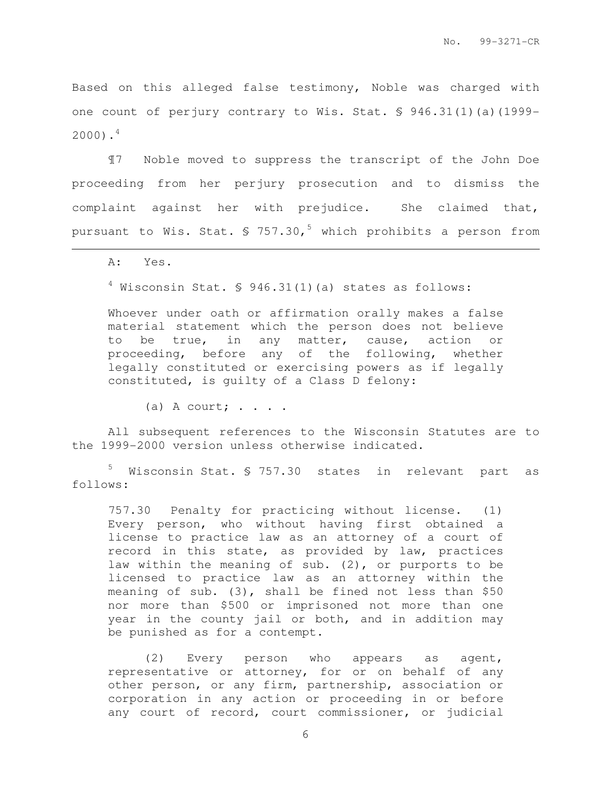Based on this alleged false testimony, Noble was charged with one count of perjury contrary to Wis. Stat. § 946.31(1)(a)(1999-  $2000$ ).<sup>4</sup>

¶7 Noble moved to suppress the transcript of the John Doe proceeding from her perjury prosecution and to dismiss the complaint against her with prejudice. She claimed that, pursuant to Wis. Stat.  $\frac{1}{5}$  757.30,<sup>5</sup> which prohibits a person from

A: Yes.

l.

 $4$  Wisconsin Stat.  $6946.31(1)(a)$  states as follows:

Whoever under oath or affirmation orally makes a false material statement which the person does not believe to be true, in any matter, cause, action or proceeding, before any of the following, whether legally constituted or exercising powers as if legally constituted, is guilty of a Class D felony:

(a) A court;  $\cdots$ 

All subsequent references to the Wisconsin Statutes are to the 1999-2000 version unless otherwise indicated.

<sup>5</sup> Wisconsin Stat. § 757.30 states in relevant part as follows:

757.30 Penalty for practicing without license. (1) Every person, who without having first obtained a license to practice law as an attorney of a court of record in this state, as provided by law, practices law within the meaning of sub. (2), or purports to be licensed to practice law as an attorney within the meaning of sub. (3), shall be fined not less than \$50 nor more than \$500 or imprisoned not more than one year in the county jail or both, and in addition may be punished as for a contempt.

(2) Every person who appears as agent, representative or attorney, for or on behalf of any other person, or any firm, partnership, association or corporation in any action or proceeding in or before any court of record, court commissioner, or judicial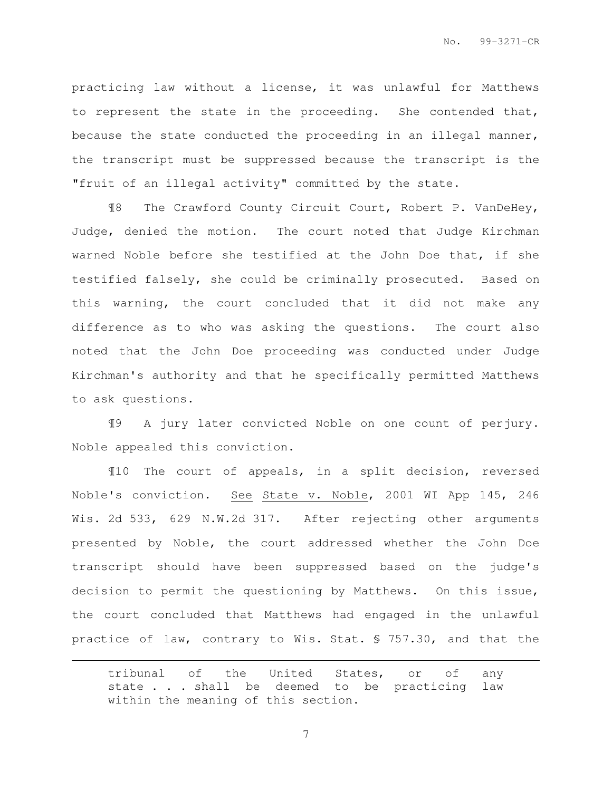practicing law without a license, it was unlawful for Matthews to represent the state in the proceeding. She contended that, because the state conducted the proceeding in an illegal manner, the transcript must be suppressed because the transcript is the "fruit of an illegal activity" committed by the state.

¶8 The Crawford County Circuit Court, Robert P. VanDeHey, Judge, denied the motion. The court noted that Judge Kirchman warned Noble before she testified at the John Doe that, if she testified falsely, she could be criminally prosecuted. Based on this warning, the court concluded that it did not make any difference as to who was asking the questions. The court also noted that the John Doe proceeding was conducted under Judge Kirchman's authority and that he specifically permitted Matthews to ask questions.

¶9 A jury later convicted Noble on one count of perjury. Noble appealed this conviction.

¶10 The court of appeals, in a split decision, reversed Noble's conviction. See State v. Noble, 2001 WI App 145, 246 Wis. 2d 533, 629 N.W.2d 317. After rejecting other arguments presented by Noble, the court addressed whether the John Doe transcript should have been suppressed based on the judge's decision to permit the questioning by Matthews. On this issue, the court concluded that Matthews had engaged in the unlawful practice of law, contrary to Wis. Stat. § 757.30, and that the

 $\overline{a}$ 

tribunal of the United States, or of any state . . . shall be deemed to be practicing law within the meaning of this section.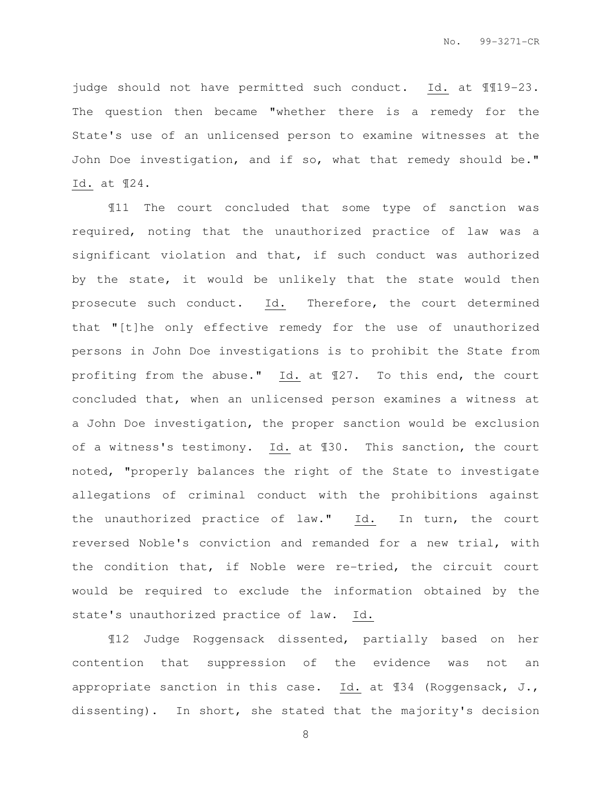judge should not have permitted such conduct. Id. at ¶¶19-23. The question then became "whether there is a remedy for the State's use of an unlicensed person to examine witnesses at the John Doe investigation, and if so, what that remedy should be." Id. at ¶24.

¶11 The court concluded that some type of sanction was required, noting that the unauthorized practice of law was a significant violation and that, if such conduct was authorized by the state, it would be unlikely that the state would then prosecute such conduct. Id. Therefore, the court determined that "[t]he only effective remedy for the use of unauthorized persons in John Doe investigations is to prohibit the State from profiting from the abuse." Id. at ¶27. To this end, the court concluded that, when an unlicensed person examines a witness at a John Doe investigation, the proper sanction would be exclusion of a witness's testimony. Id. at ¶30. This sanction, the court noted, "properly balances the right of the State to investigate allegations of criminal conduct with the prohibitions against the unauthorized practice of law." Id. In turn, the court reversed Noble's conviction and remanded for a new trial, with the condition that, if Noble were re-tried, the circuit court would be required to exclude the information obtained by the state's unauthorized practice of law. Id.

¶12 Judge Roggensack dissented, partially based on her contention that suppression of the evidence was not an appropriate sanction in this case. Id. at ¶34 (Roggensack, J., dissenting). In short, she stated that the majority's decision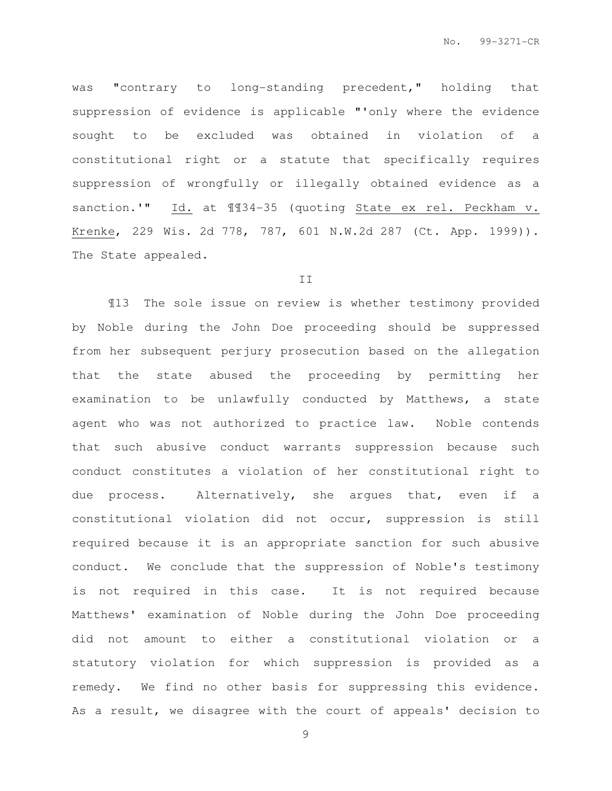was "contrary to long-standing precedent," holding that suppression of evidence is applicable "'only where the evidence sought to be excluded was obtained in violation of a constitutional right or a statute that specifically requires suppression of wrongfully or illegally obtained evidence as a sanction.'" Id. at 1134-35 (quoting State ex rel. Peckham v. Krenke, 229 Wis. 2d 778, 787, 601 N.W.2d 287 (Ct. App. 1999)). The State appealed.

### II

¶13 The sole issue on review is whether testimony provided by Noble during the John Doe proceeding should be suppressed from her subsequent perjury prosecution based on the allegation that the state abused the proceeding by permitting her examination to be unlawfully conducted by Matthews, a state agent who was not authorized to practice law. Noble contends that such abusive conduct warrants suppression because such conduct constitutes a violation of her constitutional right to due process. Alternatively, she argues that, even if a constitutional violation did not occur, suppression is still required because it is an appropriate sanction for such abusive conduct. We conclude that the suppression of Noble's testimony is not required in this case. It is not required because Matthews' examination of Noble during the John Doe proceeding did not amount to either a constitutional violation or a statutory violation for which suppression is provided as a remedy. We find no other basis for suppressing this evidence. As a result, we disagree with the court of appeals' decision to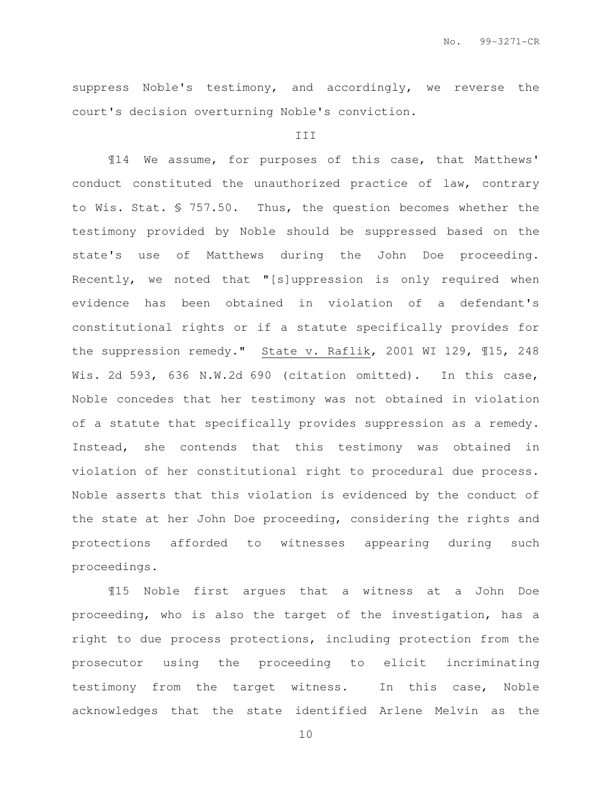suppress Noble's testimony, and accordingly, we reverse the court's decision overturning Noble's conviction.

## III

¶14 We assume, for purposes of this case, that Matthews' conduct constituted the unauthorized practice of law, contrary to Wis. Stat. § 757.50. Thus, the question becomes whether the testimony provided by Noble should be suppressed based on the state's use of Matthews during the John Doe proceeding. Recently, we noted that "[s]uppression is only required when evidence has been obtained in violation of a defendant's constitutional rights or if a statute specifically provides for the suppression remedy." State v. Raflik, 2001 WI 129, ¶15, 248 Wis. 2d 593, 636 N.W.2d 690 (citation omitted). In this case, Noble concedes that her testimony was not obtained in violation of a statute that specifically provides suppression as a remedy. Instead, she contends that this testimony was obtained in violation of her constitutional right to procedural due process. Noble asserts that this violation is evidenced by the conduct of the state at her John Doe proceeding, considering the rights and protections afforded to witnesses appearing during such proceedings.

¶15 Noble first argues that a witness at a John Doe proceeding, who is also the target of the investigation, has a right to due process protections, including protection from the prosecutor using the proceeding to elicit incriminating testimony from the target witness. In this case, Noble acknowledges that the state identified Arlene Melvin as the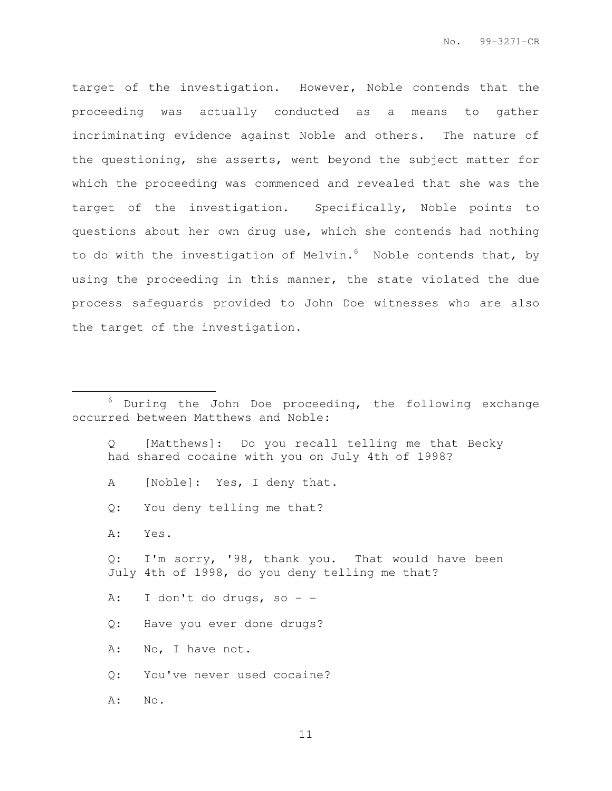target of the investigation. However, Noble contends that the proceeding was actually conducted as a means to gather incriminating evidence against Noble and others. The nature of the questioning, she asserts, went beyond the subject matter for which the proceeding was commenced and revealed that she was the target of the investigation. Specifically, Noble points to questions about her own drug use, which she contends had nothing to do with the investigation of Melvin.<sup>6</sup> Noble contends that, by using the proceeding in this manner, the state violated the due process safeguards provided to John Doe witnesses who are also the target of the investigation.

- Q [Matthews]: Do you recall telling me that Becky had shared cocaine with you on July 4th of 1998?
- A [Noble]: Yes, I deny that.
- Q: You deny telling me that?
- A: Yes.

 $\overline{a}$ 

Q: I'm sorry, '98, thank you. That would have been July 4th of 1998, do you deny telling me that?

A: I don't do drugs, so - -

- Q: Have you ever done drugs?
- A: No, I have not.

Q: You've never used cocaine?

A: No.

 $6$  During the John Doe proceeding, the following exchange occurred between Matthews and Noble: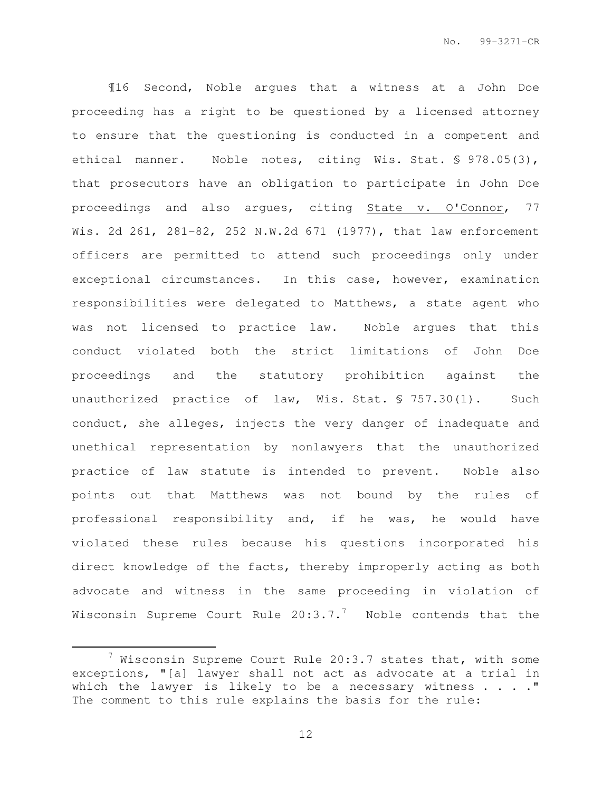¶16 Second, Noble argues that a witness at a John Doe proceeding has a right to be questioned by a licensed attorney to ensure that the questioning is conducted in a competent and ethical manner. Noble notes, citing Wis. Stat. § 978.05(3), that prosecutors have an obligation to participate in John Doe proceedings and also argues, citing State v. O'Connor, 77 Wis. 2d 261, 281-82, 252 N.W.2d 671 (1977), that law enforcement officers are permitted to attend such proceedings only under exceptional circumstances. In this case, however, examination responsibilities were delegated to Matthews, a state agent who was not licensed to practice law. Noble argues that this conduct violated both the strict limitations of John Doe proceedings and the statutory prohibition against the unauthorized practice of law, Wis. Stat. § 757.30(1). Such conduct, she alleges, injects the very danger of inadequate and unethical representation by nonlawyers that the unauthorized practice of law statute is intended to prevent. Noble also points out that Matthews was not bound by the rules of professional responsibility and, if he was, he would have violated these rules because his questions incorporated his direct knowledge of the facts, thereby improperly acting as both advocate and witness in the same proceeding in violation of Wisconsin Supreme Court Rule  $20:3.7.^7$  Noble contends that the

 $\overline{a}$ 

 $7$  Wisconsin Supreme Court Rule 20:3.7 states that, with some exceptions, "[a] lawyer shall not act as advocate at a trial in which the lawyer is likely to be a necessary witness  $\ldots$ ." The comment to this rule explains the basis for the rule: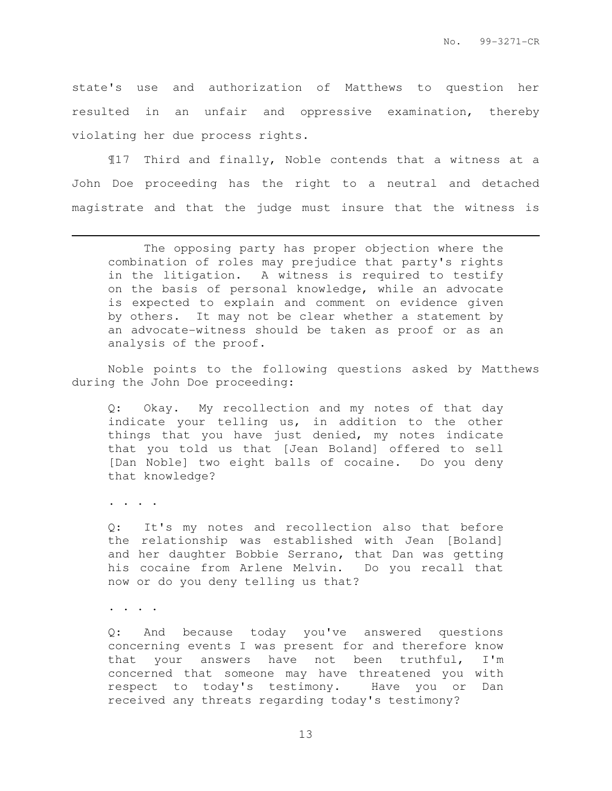state's use and authorization of Matthews to question her resulted in an unfair and oppressive examination, thereby violating her due process rights.

¶17 Third and finally, Noble contends that a witness at a John Doe proceeding has the right to a neutral and detached magistrate and that the judge must insure that the witness is

 The opposing party has proper objection where the combination of roles may prejudice that party's rights in the litigation. A witness is required to testify on the basis of personal knowledge, while an advocate is expected to explain and comment on evidence given by others. It may not be clear whether a statement by an advocate-witness should be taken as proof or as an analysis of the proof.

Noble points to the following questions asked by Matthews during the John Doe proceeding:

Q: Okay. My recollection and my notes of that day indicate your telling us, in addition to the other things that you have just denied, my notes indicate that you told us that [Jean Boland] offered to sell [Dan Noble] two eight balls of cocaine. Do you deny that knowledge?

. . . .

l.

Q: It's my notes and recollection also that before the relationship was established with Jean [Boland] and her daughter Bobbie Serrano, that Dan was getting his cocaine from Arlene Melvin. Do you recall that now or do you deny telling us that?

. . . .

Q: And because today you've answered questions concerning events I was present for and therefore know that your answers have not been truthful, I'm concerned that someone may have threatened you with respect to today's testimony. Have you or Dan received any threats regarding today's testimony?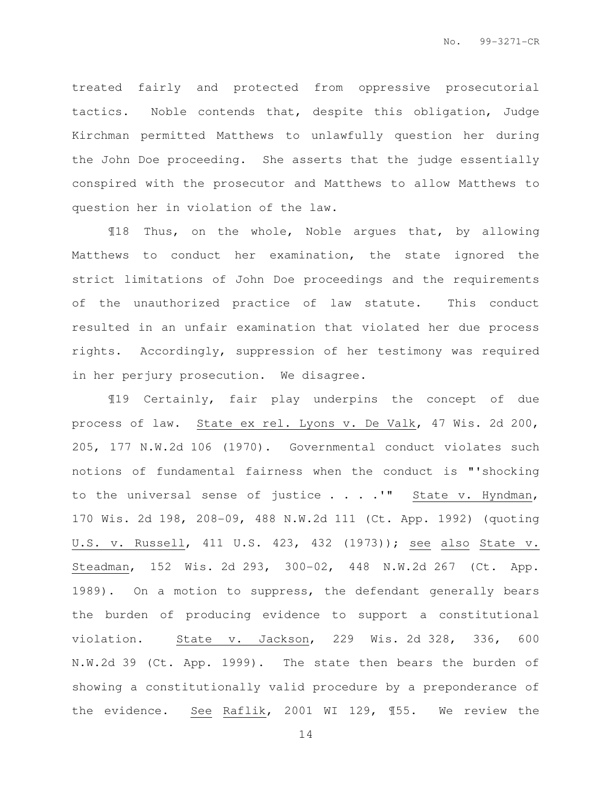treated fairly and protected from oppressive prosecutorial tactics. Noble contends that, despite this obligation, Judge Kirchman permitted Matthews to unlawfully question her during the John Doe proceeding. She asserts that the judge essentially conspired with the prosecutor and Matthews to allow Matthews to question her in violation of the law.

¶18 Thus, on the whole, Noble argues that, by allowing Matthews to conduct her examination, the state ignored the strict limitations of John Doe proceedings and the requirements of the unauthorized practice of law statute. This conduct resulted in an unfair examination that violated her due process rights. Accordingly, suppression of her testimony was required in her perjury prosecution. We disagree.

¶19 Certainly, fair play underpins the concept of due process of law. State ex rel. Lyons v. De Valk, 47 Wis. 2d 200, 205, 177 N.W.2d 106 (1970). Governmental conduct violates such notions of fundamental fairness when the conduct is "'shocking to the universal sense of justice  $\ldots$ . " State v. Hyndman, 170 Wis. 2d 198, 208-09, 488 N.W.2d 111 (Ct. App. 1992) (quoting U.S. v. Russell, 411 U.S. 423, 432 (1973)); see also State v. Steadman, 152 Wis. 2d 293, 300-02, 448 N.W.2d 267 (Ct. App. 1989). On a motion to suppress, the defendant generally bears the burden of producing evidence to support a constitutional violation. State v. Jackson, 229 Wis. 2d 328, 336, 600 N.W.2d 39 (Ct. App. 1999). The state then bears the burden of showing a constitutionally valid procedure by a preponderance of the evidence. See Raflik, 2001 WI 129, ¶55. We review the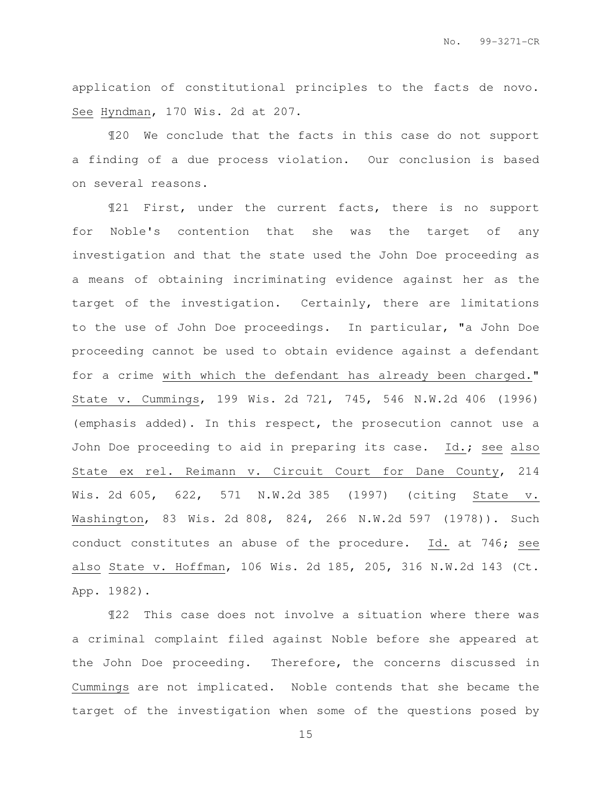application of constitutional principles to the facts de novo. See Hyndman, 170 Wis. 2d at 207.

¶20 We conclude that the facts in this case do not support a finding of a due process violation. Our conclusion is based on several reasons.

¶21 First, under the current facts, there is no support for Noble's contention that she was the target of any investigation and that the state used the John Doe proceeding as a means of obtaining incriminating evidence against her as the target of the investigation. Certainly, there are limitations to the use of John Doe proceedings. In particular, "a John Doe proceeding cannot be used to obtain evidence against a defendant for a crime with which the defendant has already been charged." State v. Cummings, 199 Wis. 2d 721, 745, 546 N.W.2d 406 (1996) (emphasis added). In this respect, the prosecution cannot use a John Doe proceeding to aid in preparing its case. Id.; see also State ex rel. Reimann v. Circuit Court for Dane County, 214 Wis. 2d 605, 622, 571 N.W.2d 385 (1997) (citing State v. Washington, 83 Wis. 2d 808, 824, 266 N.W.2d 597 (1978)). Such conduct constitutes an abuse of the procedure. Id. at 746; see also State v. Hoffman, 106 Wis. 2d 185, 205, 316 N.W.2d 143 (Ct. App. 1982).

¶22 This case does not involve a situation where there was a criminal complaint filed against Noble before she appeared at the John Doe proceeding. Therefore, the concerns discussed in Cummings are not implicated. Noble contends that she became the target of the investigation when some of the questions posed by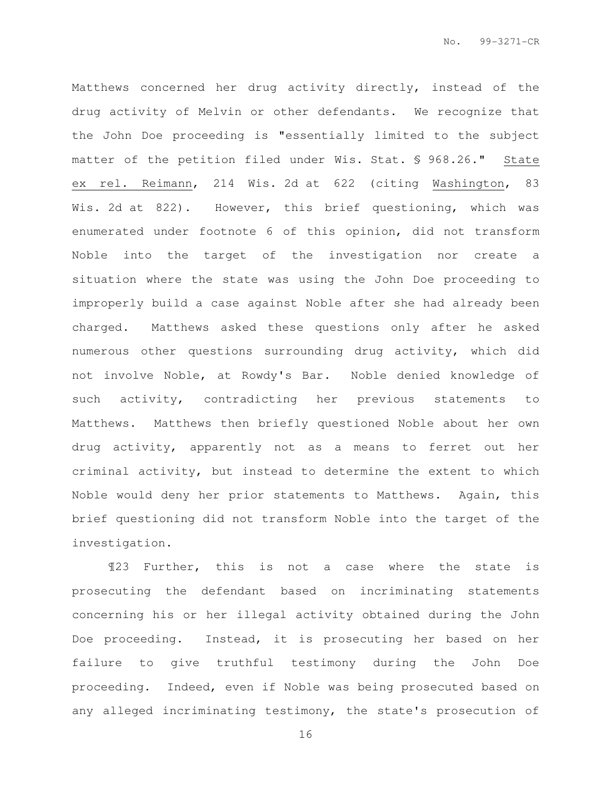Matthews concerned her drug activity directly, instead of the drug activity of Melvin or other defendants. We recognize that the John Doe proceeding is "essentially limited to the subject matter of the petition filed under Wis. Stat. § 968.26." State ex rel. Reimann, 214 Wis. 2d at 622 (citing Washington, 83 Wis. 2d at 822). However, this brief questioning, which was enumerated under footnote 6 of this opinion, did not transform Noble into the target of the investigation nor create a situation where the state was using the John Doe proceeding to improperly build a case against Noble after she had already been charged. Matthews asked these questions only after he asked numerous other questions surrounding drug activity, which did not involve Noble, at Rowdy's Bar. Noble denied knowledge of such activity, contradicting her previous statements to Matthews. Matthews then briefly questioned Noble about her own drug activity, apparently not as a means to ferret out her criminal activity, but instead to determine the extent to which Noble would deny her prior statements to Matthews. Again, this brief questioning did not transform Noble into the target of the investigation.

¶23 Further, this is not a case where the state is prosecuting the defendant based on incriminating statements concerning his or her illegal activity obtained during the John Doe proceeding. Instead, it is prosecuting her based on her failure to give truthful testimony during the John Doe proceeding. Indeed, even if Noble was being prosecuted based on any alleged incriminating testimony, the state's prosecution of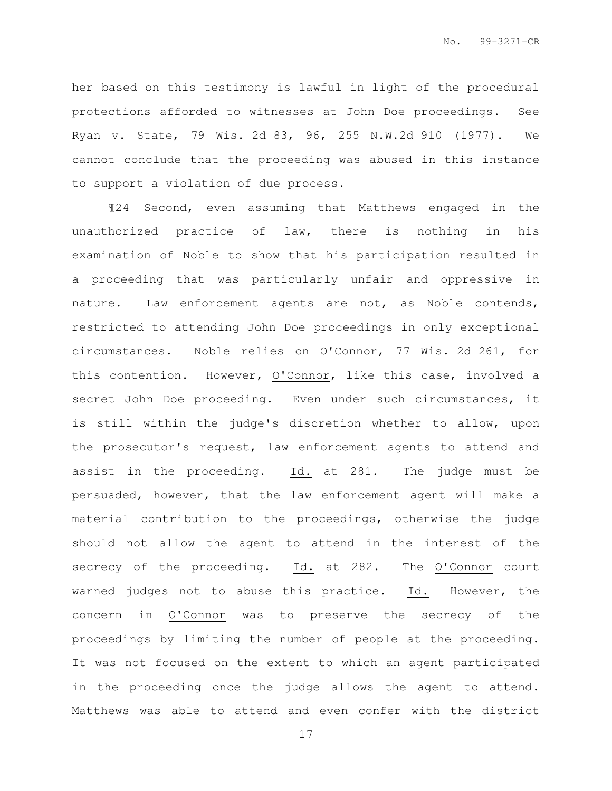her based on this testimony is lawful in light of the procedural protections afforded to witnesses at John Doe proceedings. See Ryan v. State, 79 Wis. 2d 83, 96, 255 N.W.2d 910 (1977). We cannot conclude that the proceeding was abused in this instance to support a violation of due process.

¶24 Second, even assuming that Matthews engaged in the unauthorized practice of law, there is nothing in his examination of Noble to show that his participation resulted in a proceeding that was particularly unfair and oppressive in nature. Law enforcement agents are not, as Noble contends, restricted to attending John Doe proceedings in only exceptional circumstances. Noble relies on O'Connor, 77 Wis. 2d 261, for this contention. However, O'Connor, like this case, involved a secret John Doe proceeding. Even under such circumstances, it is still within the judge's discretion whether to allow, upon the prosecutor's request, law enforcement agents to attend and assist in the proceeding. Id. at 281. The judge must be persuaded, however, that the law enforcement agent will make a material contribution to the proceedings, otherwise the judge should not allow the agent to attend in the interest of the secrecy of the proceeding. Id. at 282. The O'Connor court warned judges not to abuse this practice. Id. However, the concern in O'Connor was to preserve the secrecy of the proceedings by limiting the number of people at the proceeding. It was not focused on the extent to which an agent participated in the proceeding once the judge allows the agent to attend. Matthews was able to attend and even confer with the district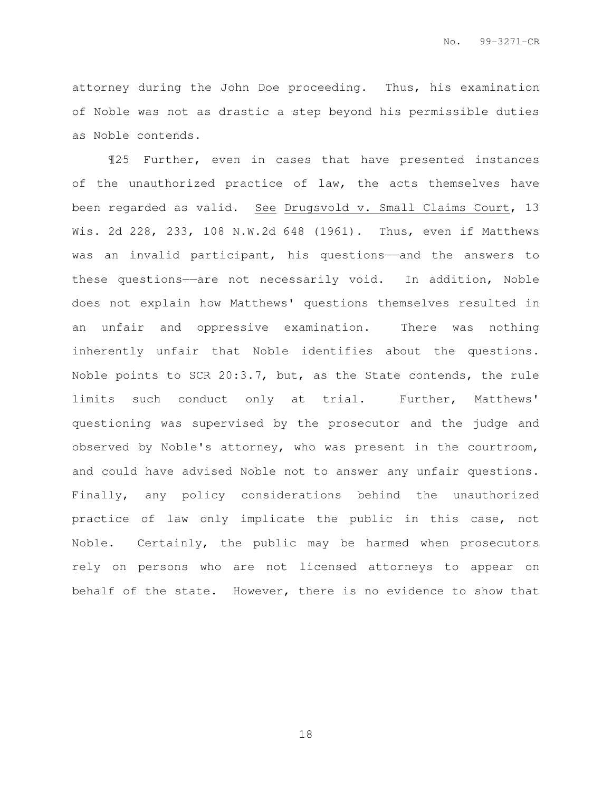attorney during the John Doe proceeding. Thus, his examination of Noble was not as drastic a step beyond his permissible duties as Noble contends.

¶25 Further, even in cases that have presented instances of the unauthorized practice of law, the acts themselves have been regarded as valid. See Drugsvold v. Small Claims Court, 13 Wis. 2d 228, 233, 108 N.W.2d 648 (1961). Thus, even if Matthews was an invalid participant, his questions—and the answers to these questions—are not necessarily void. In addition, Noble does not explain how Matthews' questions themselves resulted in an unfair and oppressive examination. There was nothing inherently unfair that Noble identifies about the questions. Noble points to SCR 20:3.7, but, as the State contends, the rule limits such conduct only at trial. Further, Matthews' questioning was supervised by the prosecutor and the judge and observed by Noble's attorney, who was present in the courtroom, and could have advised Noble not to answer any unfair questions. Finally, any policy considerations behind the unauthorized practice of law only implicate the public in this case, not Noble. Certainly, the public may be harmed when prosecutors rely on persons who are not licensed attorneys to appear on behalf of the state. However, there is no evidence to show that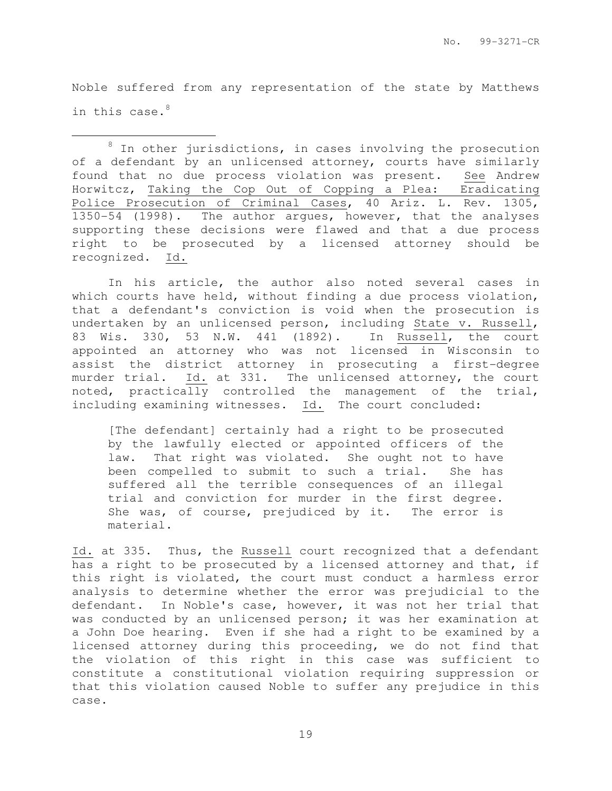Noble suffered from any representation of the state by Matthews in this case.<sup>8</sup>

 $\overline{a}$ 

 $8$  In other jurisdictions, in cases involving the prosecution of a defendant by an unlicensed attorney, courts have similarly found that no due process violation was present. See Andrew Horwitcz, Taking the Cop Out of Copping a Plea: Eradicating Police Prosecution of Criminal Cases, 40 Ariz. L. Rev. 1305, 1350-54 (1998). The author argues, however, that the analyses supporting these decisions were flawed and that a due process right to be prosecuted by a licensed attorney should be recognized. Id.

In his article, the author also noted several cases in which courts have held, without finding a due process violation, that a defendant's conviction is void when the prosecution is undertaken by an unlicensed person, including State v. Russell, 83 Wis. 330, 53 N.W. 441 (1892). In Russell, the court appointed an attorney who was not licensed in Wisconsin to assist the district attorney in prosecuting a first-degree murder trial. Id. at 331. The unlicensed attorney, the court noted, practically controlled the management of the trial, including examining witnesses. Id. The court concluded:

[The defendant] certainly had a right to be prosecuted by the lawfully elected or appointed officers of the law. That right was violated. She ought not to have been compelled to submit to such a trial. She has suffered all the terrible consequences of an illegal trial and conviction for murder in the first degree. She was, of course, prejudiced by it. The error is material.

Id. at 335. Thus, the Russell court recognized that a defendant has a right to be prosecuted by a licensed attorney and that, if this right is violated, the court must conduct a harmless error analysis to determine whether the error was prejudicial to the defendant. In Noble's case, however, it was not her trial that was conducted by an unlicensed person; it was her examination at a John Doe hearing. Even if she had a right to be examined by a licensed attorney during this proceeding, we do not find that the violation of this right in this case was sufficient to constitute a constitutional violation requiring suppression or that this violation caused Noble to suffer any prejudice in this case.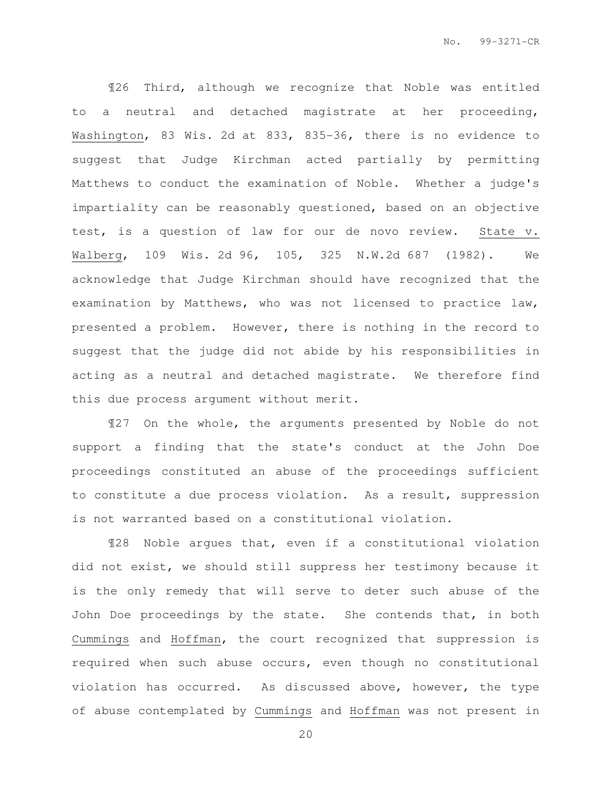¶26 Third, although we recognize that Noble was entitled to a neutral and detached magistrate at her proceeding, Washington, 83 Wis. 2d at 833, 835-36, there is no evidence to suggest that Judge Kirchman acted partially by permitting Matthews to conduct the examination of Noble. Whether a judge's impartiality can be reasonably questioned, based on an objective test, is a question of law for our de novo review. State v. Walberg, 109 Wis. 2d 96, 105, 325 N.W.2d 687 (1982). We acknowledge that Judge Kirchman should have recognized that the examination by Matthews, who was not licensed to practice law, presented a problem. However, there is nothing in the record to suggest that the judge did not abide by his responsibilities in acting as a neutral and detached magistrate. We therefore find this due process argument without merit.

¶27 On the whole, the arguments presented by Noble do not support a finding that the state's conduct at the John Doe proceedings constituted an abuse of the proceedings sufficient to constitute a due process violation. As a result, suppression is not warranted based on a constitutional violation.

¶28 Noble argues that, even if a constitutional violation did not exist, we should still suppress her testimony because it is the only remedy that will serve to deter such abuse of the John Doe proceedings by the state. She contends that, in both Cummings and Hoffman, the court recognized that suppression is required when such abuse occurs, even though no constitutional violation has occurred. As discussed above, however, the type of abuse contemplated by Cummings and Hoffman was not present in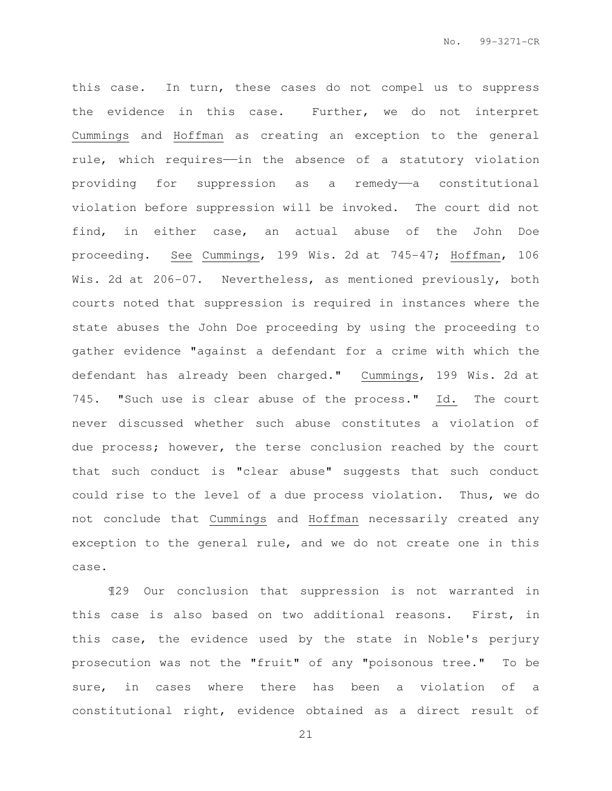this case. In turn, these cases do not compel us to suppress the evidence in this case. Further, we do not interpret Cummings and Hoffman as creating an exception to the general rule, which requires——in the absence of a statutory violation providing for suppression as a remedy——a constitutional violation before suppression will be invoked. The court did not find, in either case, an actual abuse of the John Doe proceeding. See Cummings, 199 Wis. 2d at 745-47; Hoffman, 106 Wis. 2d at 206-07. Nevertheless, as mentioned previously, both courts noted that suppression is required in instances where the state abuses the John Doe proceeding by using the proceeding to gather evidence "against a defendant for a crime with which the defendant has already been charged." Cummings, 199 Wis. 2d at 745. "Such use is clear abuse of the process." Id. The court never discussed whether such abuse constitutes a violation of due process; however, the terse conclusion reached by the court that such conduct is "clear abuse" suggests that such conduct could rise to the level of a due process violation. Thus, we do not conclude that Cummings and Hoffman necessarily created any exception to the general rule, and we do not create one in this case.

¶29 Our conclusion that suppression is not warranted in this case is also based on two additional reasons. First, in this case, the evidence used by the state in Noble's perjury prosecution was not the "fruit" of any "poisonous tree." To be sure, in cases where there has been a violation of a constitutional right, evidence obtained as a direct result of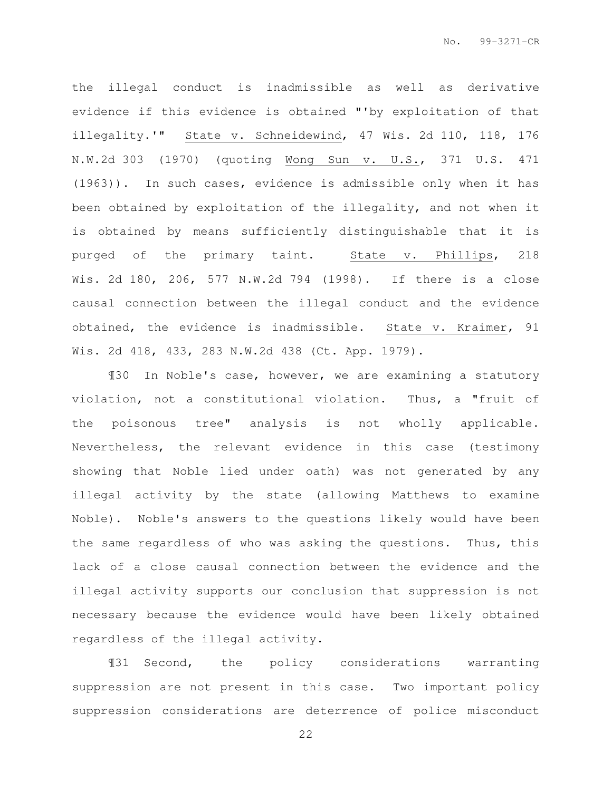the illegal conduct is inadmissible as well as derivative evidence if this evidence is obtained "'by exploitation of that illegality.'" State v. Schneidewind, 47 Wis. 2d 110, 118, 176 N.W.2d 303 (1970) (quoting Wong Sun v. U.S., 371 U.S. 471 (1963)). In such cases, evidence is admissible only when it has been obtained by exploitation of the illegality, and not when it is obtained by means sufficiently distinguishable that it is purged of the primary taint. State v. Phillips, 218 Wis. 2d 180, 206, 577 N.W.2d 794 (1998). If there is a close causal connection between the illegal conduct and the evidence obtained, the evidence is inadmissible. State v. Kraimer, 91 Wis. 2d 418, 433, 283 N.W.2d 438 (Ct. App. 1979).

¶30 In Noble's case, however, we are examining a statutory violation, not a constitutional violation. Thus, a "fruit of the poisonous tree" analysis is not wholly applicable. Nevertheless, the relevant evidence in this case (testimony showing that Noble lied under oath) was not generated by any illegal activity by the state (allowing Matthews to examine Noble). Noble's answers to the questions likely would have been the same regardless of who was asking the questions. Thus, this lack of a close causal connection between the evidence and the illegal activity supports our conclusion that suppression is not necessary because the evidence would have been likely obtained regardless of the illegal activity.

¶31 Second, the policy considerations warranting suppression are not present in this case. Two important policy suppression considerations are deterrence of police misconduct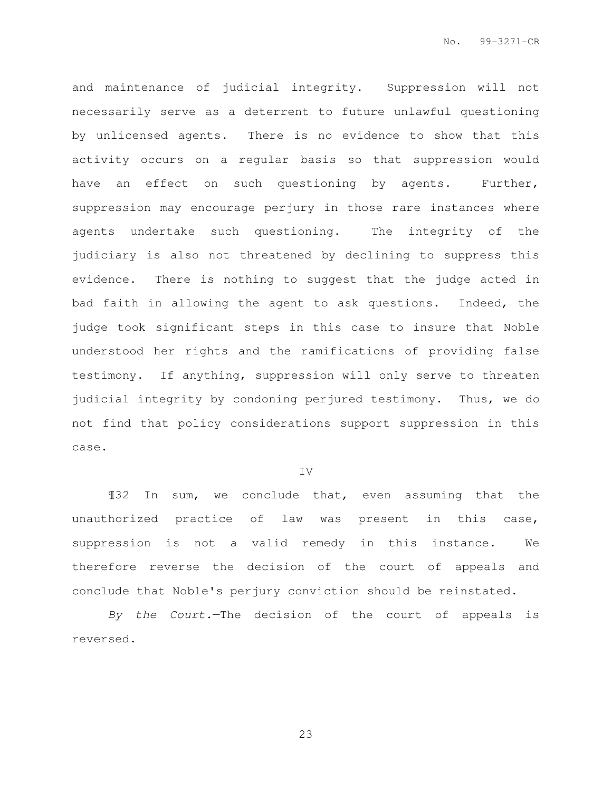and maintenance of judicial integrity. Suppression will not necessarily serve as a deterrent to future unlawful questioning by unlicensed agents. There is no evidence to show that this activity occurs on a regular basis so that suppression would have an effect on such questioning by agents. Further, suppression may encourage perjury in those rare instances where agents undertake such questioning. The integrity of the judiciary is also not threatened by declining to suppress this evidence. There is nothing to suggest that the judge acted in bad faith in allowing the agent to ask questions. Indeed, the judge took significant steps in this case to insure that Noble understood her rights and the ramifications of providing false testimony. If anything, suppression will only serve to threaten judicial integrity by condoning perjured testimony. Thus, we do not find that policy considerations support suppression in this case.

#### IV

¶32 In sum, we conclude that, even assuming that the unauthorized practice of law was present in this case, suppression is not a valid remedy in this instance. We therefore reverse the decision of the court of appeals and conclude that Noble's perjury conviction should be reinstated.

By the Court.—The decision of the court of appeals is reversed.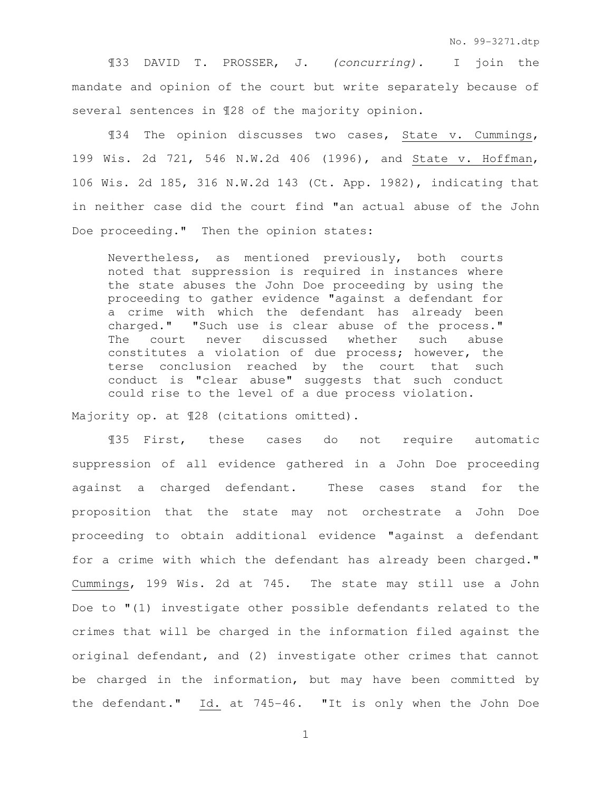¶33 DAVID T. PROSSER, J. (concurring). I join the mandate and opinion of the court but write separately because of several sentences in ¶28 of the majority opinion.

¶34 The opinion discusses two cases, State v. Cummings, 199 Wis. 2d 721, 546 N.W.2d 406 (1996), and State v. Hoffman, 106 Wis. 2d 185, 316 N.W.2d 143 (Ct. App. 1982), indicating that in neither case did the court find "an actual abuse of the John Doe proceeding." Then the opinion states:

Nevertheless, as mentioned previously, both courts noted that suppression is required in instances where the state abuses the John Doe proceeding by using the proceeding to gather evidence "against a defendant for a crime with which the defendant has already been charged." "Such use is clear abuse of the process." The court never discussed whether such abuse constitutes a violation of due process; however, the terse conclusion reached by the court that such conduct is "clear abuse" suggests that such conduct could rise to the level of a due process violation.

Majority op. at ¶28 (citations omitted).

¶35 First, these cases do not require automatic suppression of all evidence gathered in a John Doe proceeding against a charged defendant. These cases stand for the proposition that the state may not orchestrate a John Doe proceeding to obtain additional evidence "against a defendant for a crime with which the defendant has already been charged." Cummings, 199 Wis. 2d at 745. The state may still use a John Doe to "(1) investigate other possible defendants related to the crimes that will be charged in the information filed against the original defendant, and (2) investigate other crimes that cannot be charged in the information, but may have been committed by the defendant." Id. at 745-46. "It is only when the John Doe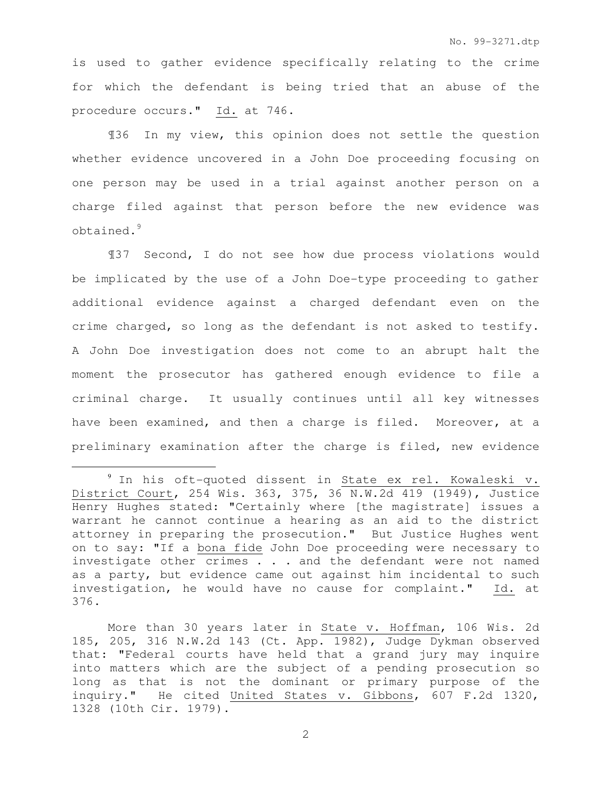is used to gather evidence specifically relating to the crime for which the defendant is being tried that an abuse of the procedure occurs." Id. at 746.

¶36 In my view, this opinion does not settle the question whether evidence uncovered in a John Doe proceeding focusing on one person may be used in a trial against another person on a charge filed against that person before the new evidence was obtained.<sup>9</sup>

¶37 Second, I do not see how due process violations would be implicated by the use of a John Doe-type proceeding to gather additional evidence against a charged defendant even on the crime charged, so long as the defendant is not asked to testify. A John Doe investigation does not come to an abrupt halt the moment the prosecutor has gathered enough evidence to file a criminal charge. It usually continues until all key witnesses have been examined, and then a charge is filed. Moreover, at a preliminary examination after the charge is filed, new evidence

l.

<sup>9</sup> In his oft-quoted dissent in State ex rel. Kowaleski v. District Court, 254 Wis. 363, 375, 36 N.W.2d 419 (1949), Justice Henry Hughes stated: "Certainly where [the magistrate] issues a warrant he cannot continue a hearing as an aid to the district attorney in preparing the prosecution." But Justice Hughes went on to say: "If a bona fide John Doe proceeding were necessary to investigate other crimes . . . and the defendant were not named as a party, but evidence came out against him incidental to such investigation, he would have no cause for complaint." Id. at 376.

More than 30 years later in State v. Hoffman, 106 Wis. 2d 185, 205, 316 N.W.2d 143 (Ct. App. 1982), Judge Dykman observed that: "Federal courts have held that a grand jury may inquire into matters which are the subject of a pending prosecution so long as that is not the dominant or primary purpose of the inquiry." He cited United States v. Gibbons, 607 F.2d 1320, 1328 (10th Cir. 1979).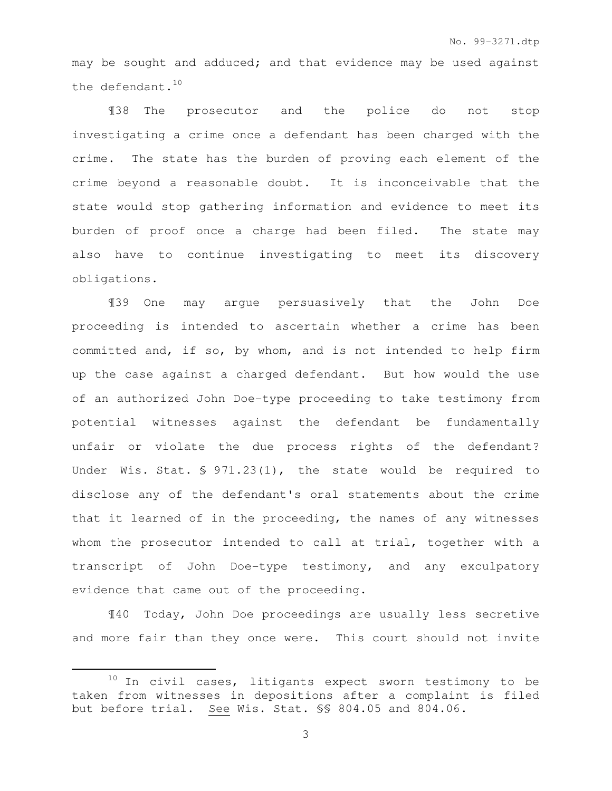may be sought and adduced; and that evidence may be used against the defendant.<sup>10</sup>

¶38 The prosecutor and the police do not stop investigating a crime once a defendant has been charged with the crime. The state has the burden of proving each element of the crime beyond a reasonable doubt. It is inconceivable that the state would stop gathering information and evidence to meet its burden of proof once a charge had been filed. The state may also have to continue investigating to meet its discovery obligations.

¶39 One may argue persuasively that the John Doe proceeding is intended to ascertain whether a crime has been committed and, if so, by whom, and is not intended to help firm up the case against a charged defendant. But how would the use of an authorized John Doe-type proceeding to take testimony from potential witnesses against the defendant be fundamentally unfair or violate the due process rights of the defendant? Under Wis. Stat. § 971.23(1), the state would be required to disclose any of the defendant's oral statements about the crime that it learned of in the proceeding, the names of any witnesses whom the prosecutor intended to call at trial, together with a transcript of John Doe-type testimony, and any exculpatory evidence that came out of the proceeding.

¶40 Today, John Doe proceedings are usually less secretive and more fair than they once were. This court should not invite

 $\overline{a}$ 

 $10$  In civil cases, litigants expect sworn testimony to be taken from witnesses in depositions after a complaint is filed but before trial. See Wis. Stat. §§ 804.05 and 804.06.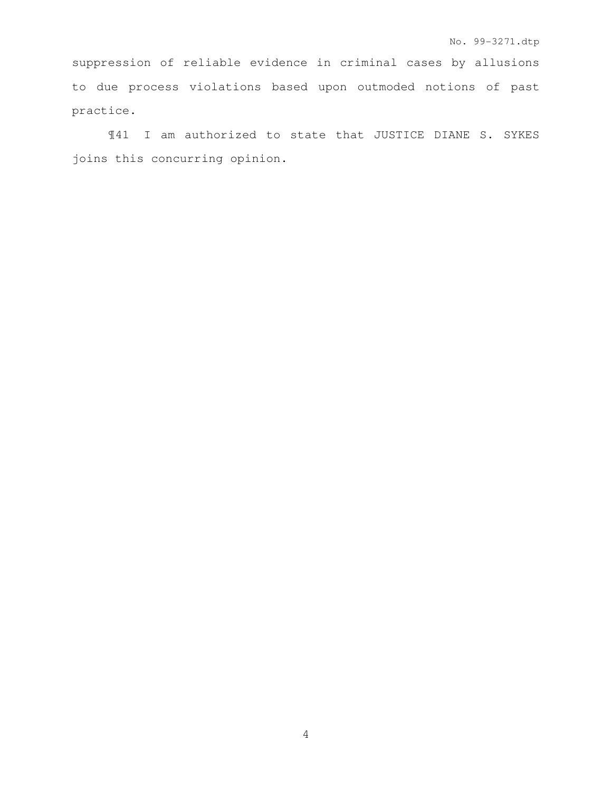suppression of reliable evidence in criminal cases by allusions to due process violations based upon outmoded notions of past practice.

¶41 I am authorized to state that JUSTICE DIANE S. SYKES joins this concurring opinion.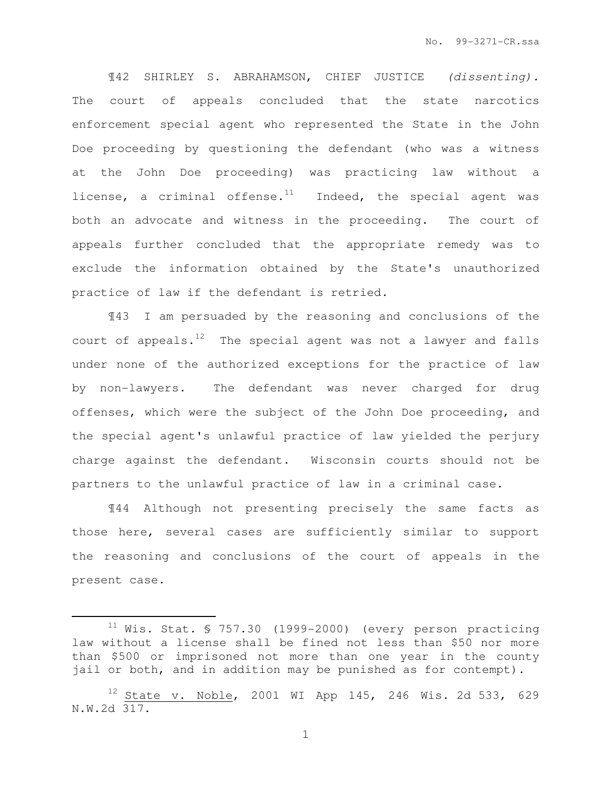¶42 SHIRLEY S. ABRAHAMSON, CHIEF JUSTICE (dissenting). The court of appeals concluded that the state narcotics enforcement special agent who represented the State in the John Doe proceeding by questioning the defendant (who was a witness at the John Doe proceeding) was practicing law without a license, a criminal offense. $11$  Indeed, the special agent was both an advocate and witness in the proceeding. The court of appeals further concluded that the appropriate remedy was to exclude the information obtained by the State's unauthorized practice of law if the defendant is retried.

¶43 I am persuaded by the reasoning and conclusions of the court of appeals. $12$  The special agent was not a lawyer and falls under none of the authorized exceptions for the practice of law by non-lawyers. The defendant was never charged for drug offenses, which were the subject of the John Doe proceeding, and the special agent's unlawful practice of law yielded the perjury charge against the defendant. Wisconsin courts should not be partners to the unlawful practice of law in a criminal case.

¶44 Although not presenting precisely the same facts as those here, several cases are sufficiently similar to support the reasoning and conclusions of the court of appeals in the present case.

 $\overline{a}$ 

 $11$  Wis. Stat. § 757.30 (1999-2000) (every person practicing law without a license shall be fined not less than \$50 nor more than \$500 or imprisoned not more than one year in the county jail or both, and in addition may be punished as for contempt).

 $12$  State v. Noble, 2001 WI App 145, 246 Wis. 2d 533, 629 N.W.2d 317.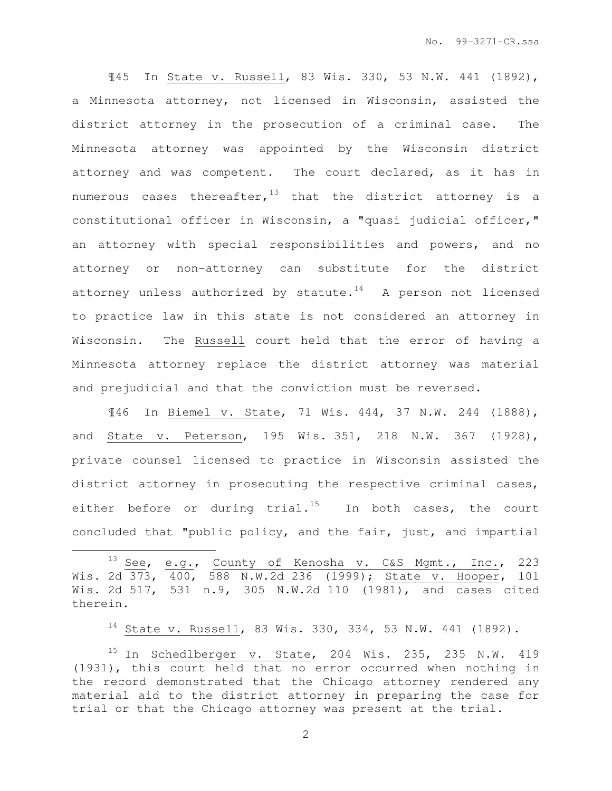¶45 In State v. Russell, 83 Wis. 330, 53 N.W. 441 (1892), a Minnesota attorney, not licensed in Wisconsin, assisted the district attorney in the prosecution of a criminal case. The Minnesota attorney was appointed by the Wisconsin district attorney and was competent. The court declared, as it has in numerous cases thereafter,  $13$  that the district attorney is a constitutional officer in Wisconsin, a "quasi judicial officer," an attorney with special responsibilities and powers, and no attorney or non-attorney can substitute for the district attorney unless authorized by statute. $14$  A person not licensed to practice law in this state is not considered an attorney in Wisconsin. The Russell court held that the error of having a Minnesota attorney replace the district attorney was material and prejudicial and that the conviction must be reversed.

¶46 In Biemel v. State, 71 Wis. 444, 37 N.W. 244 (1888), and State v. Peterson, 195 Wis. 351, 218 N.W. 367 (1928), private counsel licensed to practice in Wisconsin assisted the district attorney in prosecuting the respective criminal cases, either before or during trial.<sup>15</sup> In both cases, the court concluded that "public policy, and the fair, just, and impartial

13 See, e.g., County of Kenosha v. C&S Mgmt., Inc., 223 Wis. 2d 373, 400, 588 N.W.2d 236 (1999); State v. Hooper, 101 Wis. 2d 517, 531 n.9, 305 N.W.2d 110 (1981), and cases cited therein.

 $\overline{a}$ 

<sup>14</sup> State v. Russell, 83 Wis. 330, 334, 53 N.W. 441 (1892).

 $15$  In Schedlberger v. State, 204 Wis. 235, 235 N.W. 419 (1931), this court held that no error occurred when nothing in the record demonstrated that the Chicago attorney rendered any material aid to the district attorney in preparing the case for trial or that the Chicago attorney was present at the trial.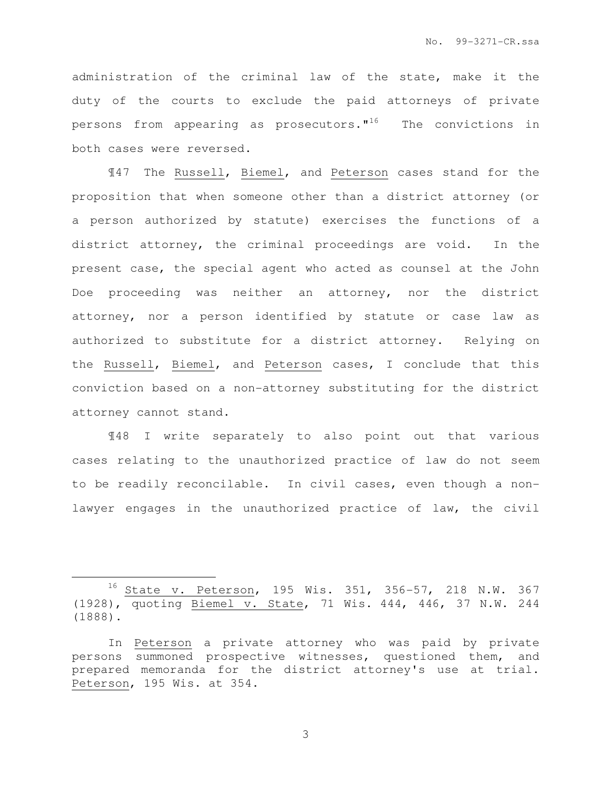administration of the criminal law of the state, make it the duty of the courts to exclude the paid attorneys of private persons from appearing as prosecutors. $"$ <sup>16</sup> The convictions in both cases were reversed.

¶47 The Russell, Biemel, and Peterson cases stand for the proposition that when someone other than a district attorney (or a person authorized by statute) exercises the functions of a district attorney, the criminal proceedings are void. In the present case, the special agent who acted as counsel at the John Doe proceeding was neither an attorney, nor the district attorney, nor a person identified by statute or case law as authorized to substitute for a district attorney. Relying on the Russell, Biemel, and Peterson cases, I conclude that this conviction based on a non-attorney substituting for the district attorney cannot stand.

¶48 I write separately to also point out that various cases relating to the unauthorized practice of law do not seem to be readily reconcilable. In civil cases, even though a nonlawyer engages in the unauthorized practice of law, the civil

l.

<sup>16</sup> State v. Peterson, 195 Wis. 351, 356-57, 218 N.W. 367 (1928), quoting Biemel v. State, 71 Wis. 444, 446, 37 N.W. 244 (1888).

In Peterson a private attorney who was paid by private persons summoned prospective witnesses, questioned them, and prepared memoranda for the district attorney's use at trial. Peterson, 195 Wis. at 354.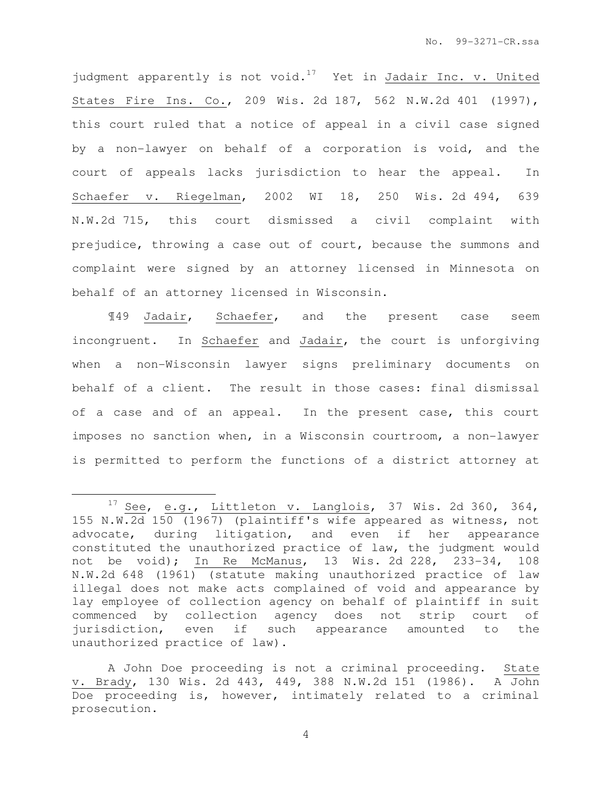judgment apparently is not void.<sup>17</sup> Yet in Jadair Inc. v. United States Fire Ins. Co., 209 Wis. 2d 187, 562 N.W.2d 401 (1997), this court ruled that a notice of appeal in a civil case signed by a non-lawyer on behalf of a corporation is void, and the court of appeals lacks jurisdiction to hear the appeal. In Schaefer v. Riegelman, 2002 WI 18, 250 Wis. 2d 494, 639 N.W.2d 715, this court dismissed a civil complaint with prejudice, throwing a case out of court, because the summons and complaint were signed by an attorney licensed in Minnesota on behalf of an attorney licensed in Wisconsin.

¶49 Jadair, Schaefer, and the present case seem incongruent. In Schaefer and Jadair, the court is unforgiving when a non-Wisconsin lawyer signs preliminary documents on behalf of a client. The result in those cases: final dismissal of a case and of an appeal. In the present case, this court imposes no sanction when, in a Wisconsin courtroom, a non-lawyer is permitted to perform the functions of a district attorney at

 $\overline{a}$ 

 $17$  See, e.g., Littleton v. Langlois, 37 Wis. 2d 360, 364, 155 N.W.2d 150 (1967) (plaintiff's wife appeared as witness, not advocate, during litigation, and even if her appearance constituted the unauthorized practice of law, the judgment would not be void); In Re McManus, 13 Wis. 2d 228, 233-34, 108 N.W.2d 648 (1961) (statute making unauthorized practice of law illegal does not make acts complained of void and appearance by lay employee of collection agency on behalf of plaintiff in suit commenced by collection agency does not strip court of jurisdiction, even if such appearance amounted to the unauthorized practice of law).

A John Doe proceeding is not a criminal proceeding. State v. Brady, 130 Wis. 2d 443, 449, 388 N.W.2d 151 (1986). A John Doe proceeding is, however, intimately related to a criminal prosecution.